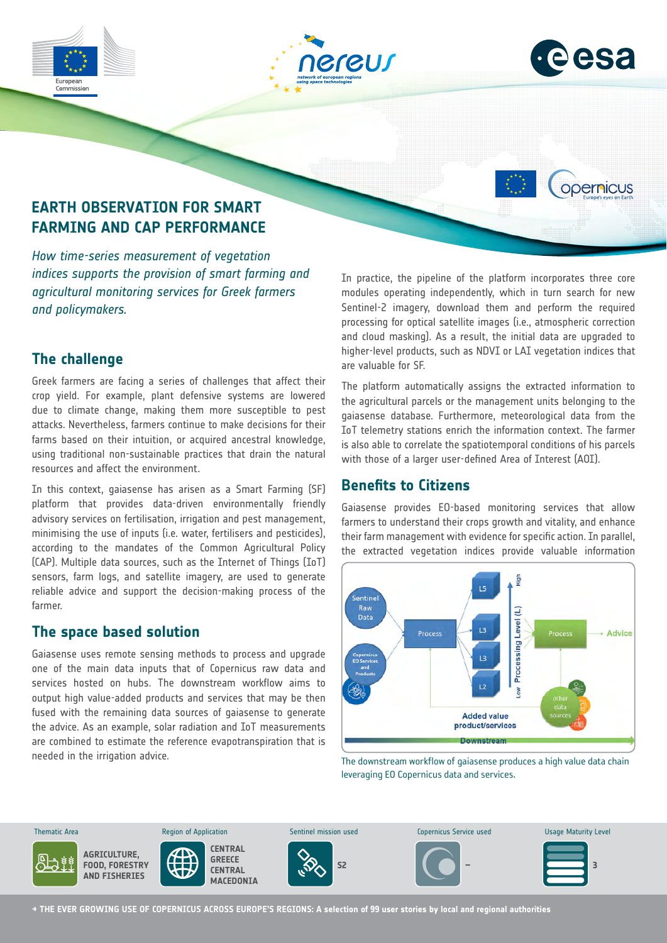





opernicus

# **EARTH OBSERVATION FOR SMART FARMING AND CAP PERFORMANCE**

*How time-series measurement of vegetation indices supports the provision of smart farming and agricultural monitoring services for Greek farmers and policymakers.*

# **The challenge**

Greek farmers are facing a series of challenges that affect their crop yield. For example, plant defensive systems are lowered due to climate change, making them more susceptible to pest attacks. Nevertheless, farmers continue to make decisions for their farms based on their intuition, or acquired ancestral knowledge, using traditional non-sustainable practices that drain the natural resources and affect the environment.

In this context, gaiasense has arisen as a Smart Farming (SF) platform that provides data-driven environmentally friendly advisory services on fertilisation, irrigation and pest management, minimising the use of inputs (i.e. water, fertilisers and pesticides), according to the mandates of the Common Agricultural Policy (CAP). Multiple data sources, such as the Internet of Things (IoT) sensors, farm logs, and satellite imagery, are used to generate reliable advice and support the decision-making process of the farmer.

# **The space based solution**

Gaiasense uses remote sensing methods to process and upgrade one of the main data inputs that of Copernicus raw data and services hosted on hubs. The downstream workflow aims to output high value-added products and services that may be then fused with the remaining data sources of gaiasense to generate the advice. As an example, solar radiation and IoT measurements are combined to estimate the reference evapotranspiration that is needed in the irrigation advice.

In practice, the pipeline of the platform incorporates three core modules operating independently, which in turn search for new Sentinel-2 imagery, download them and perform the required processing for optical satellite images (i.e., atmospheric correction and cloud masking). As a result, the initial data are upgraded to higher-level products, such as NDVI or LAI vegetation indices that are valuable for SF.

The platform automatically assigns the extracted information to the agricultural parcels or the management units belonging to the gaiasense database. Furthermore, meteorological data from the IoT telemetry stations enrich the information context. The farmer is also able to correlate the spatiotemporal conditions of his parcels with those of a larger user-defined Area of Interest (AOI).

# **Benefits to Citizens**

Gaiasense provides EO-based monitoring services that allow farmers to understand their crops growth and vitality, and enhance their farm management with evidence for specific action. In parallel, the extracted vegetation indices provide valuable information



The downstream workflow of gaiasense produces a high value data chain leveraging EO Copernicus data and services.



**→ THE EVER GROWING USE OF COPERNICUS ACROSS EUROPE'S REGIONS: A selection of 99 user stories by local and regional authorities**